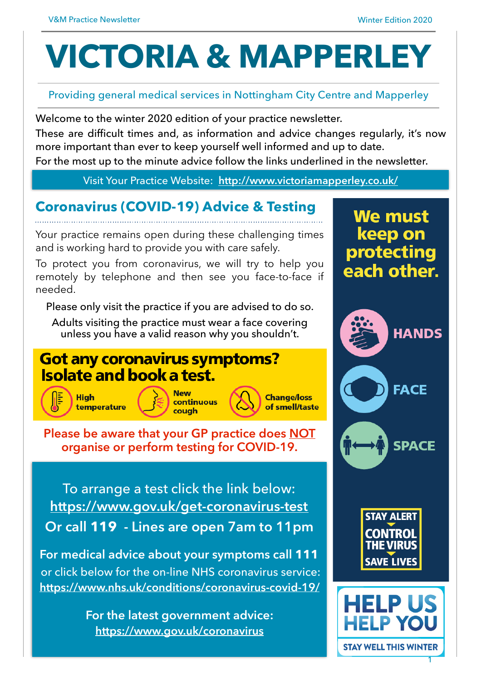# **VICTORIA & MAPPERLEY**

#### Providing general medical services in Nottingham City Centre and Mapperley

Welcome to the winter 2020 edition of your practice newsletter.

These are difficult times and, as information and advice changes regularly, it's now more important than ever to keep yourself well informed and up to date.

For the most up to the minute advice follow the links underlined in the newsletter.

#### Visit Your Practice Website: **[http://www.victoriamapperley.co.uk/](http://victoriamapperley.co.uk/)**

## **Coronavirus (COVID-19) Advice & Testing**

Your practice remains open during these challenging times and is working hard to provide you with care safely.

To protect you from coronavirus, we will try to help you remotely by telephone and then see you face-to-face if needed.

Please only visit the practice if you are advised to do so.

Adults visiting the practice must wear a face covering unless you have a valid reason why you shouldn't.

## **Got any coronavirus symptoms? Isolate and book a test.**







**Please be aware that your GP practice does NOT organise or perform testing for COVID-19.**

To arrange a test click the link below: **<https://www.gov.uk/get-coronavirus-test> Or call 119 - Lines are open 7am to 11pm** 

**For medical advice about your symptoms call 111**  or click below for the on-line NHS coronavirus service: **<https://www.nhs.uk/conditions/coronavirus-covid-19/>**

> **For the latest government advice: <https://www.gov.uk/coronavirus>**



**STAY ALERT CONTROL THE VIRUS SAVE LIVES** 

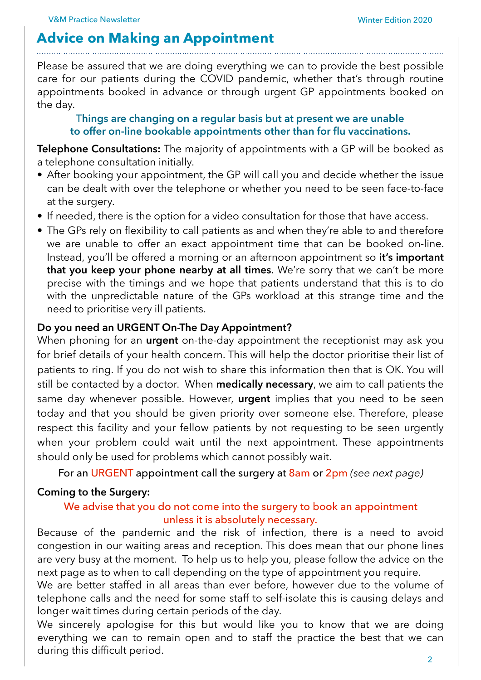#### **Advice on Making an Appointment**

Please be assured that we are doing everything we can to provide the best possible care for our patients during the COVID pandemic, whether that's through routine appointments booked in advance or through urgent GP appointments booked on the day.

#### T**hings are changing on a regular basis but at present we are unable to offer on-line bookable appointments other than for flu vaccinations.**

**Telephone Consultations:** The majority of appointments with a GP will be booked as a telephone consultation initially.

- After booking your appointment, the GP will call you and decide whether the issue can be dealt with over the telephone or whether you need to be seen face-to-face at the surgery.
- If needed, there is the option for a video consultation for those that have access.
- The GPs rely on flexibility to call patients as and when they're able to and therefore we are unable to offer an exact appointment time that can be booked on-line. Instead, you'll be offered a morning or an afternoon appointment so **it's important that you keep your phone nearby at all times**. We're sorry that we can't be more precise with the timings and we hope that patients understand that this is to do with the unpredictable nature of the GPs workload at this strange time and the need to prioritise very ill patients.

#### **Do you need an URGENT On-The Day Appointment?**

When phoning for an **urgent** on-the-day appointment the receptionist may ask you for brief details of your health concern. This will help the doctor prioritise their list of patients to ring. If you do not wish to share this information then that is OK. You will still be contacted by a doctor. When **medically necessary**, we aim to call patients the same day whenever possible. However, **urgent** implies that you need to be seen today and that you should be given priority over someone else. Therefore, please respect this facility and your fellow patients by not requesting to be seen urgently when your problem could wait until the next appointment. These appointments should only be used for problems which cannot possibly wait.

For an URGENT appointment call the surgery at 8am or 2pm *(see next page)*

#### **Coming to the Surgery:**

#### We advise that you do not come into the surgery to book an appointment unless it is absolutely necessary.

Because of the pandemic and the risk of infection, there is a need to avoid congestion in our waiting areas and reception. This does mean that our phone lines are very busy at the moment. To help us to help you, please follow the advice on the next page as to when to call depending on the type of appointment you require.

We are better staffed in all areas than ever before, however due to the volume of telephone calls and the need for some staff to self-isolate this is causing delays and longer wait times during certain periods of the day.

We sincerely apologise for this but would like you to know that we are doing everything we can to remain open and to staff the practice the best that we can during this difficult period.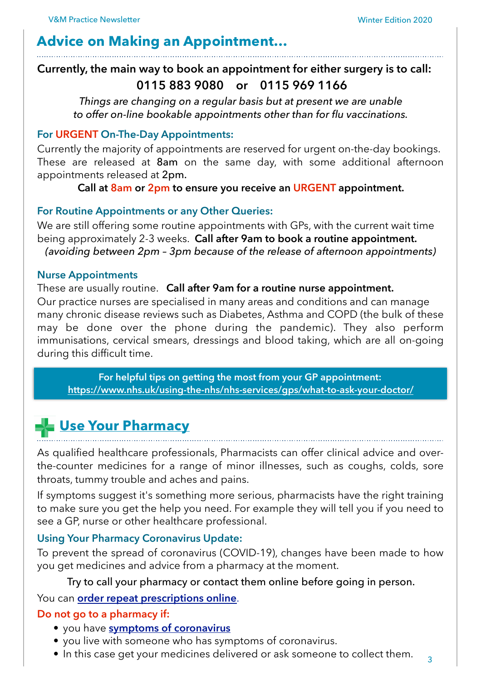## **Advice on Making an Appointment…**

#### **Currently, the main way to book an appointment for either surgery is to call: 0115 883 9080 or 0115 969 1166**

*Things are changing on a regular basis but at present we are unable to offer on-line bookable appointments other than for flu vaccinations.* 

#### **For URGENT On-The-Day Appointments:**

Currently the majority of appointments are reserved for urgent on-the-day bookings. These are released at 8am on the same day, with some additional afternoon appointments released at 2pm.

**Call at 8am or 2pm to ensure you receive an URGENT appointment.** 

#### **For Routine Appointments or any Other Queries:**

We are still offering some routine appointments with GPs, with the current wait time being approximately 2-3 weeks. **Call after 9am to book a routine appointment.**  *(avoiding between 2pm – 3pm because of the release of afternoon appointments)* 

#### **Nurse Appointments**

#### These are usually routine. **Call after 9am for a routine nurse appointment.**

Our practice nurses are specialised in many areas and conditions and can manage many chronic disease reviews such as Diabetes, Asthma and COPD (the bulk of these may be done over the phone during the pandemic). They also perform immunisations, cervical smears, dressings and blood taking, which are all on-going during this difficult time.

**For helpful tips on getting the most from your GP appointment: <https://www.nhs.uk/using-the-nhs/nhs-services/gps/what-to-ask-your-doctor/>**

## **[Use Your Pharmacy](https://www.nhs.uk/using-the-nhs/nhs-services/pharmacies/what-to-expect-from-your-pharmacy-team/)**

As qualified healthcare professionals, Pharmacists can offer clinical advice and overthe-counter medicines for a range of minor illnesses, such as coughs, colds, sore throats, tummy trouble and aches and pains.

If symptoms suggest it's something more serious, pharmacists have the right training to make sure you get the help you need. For example they will tell you if you need to see a GP, nurse or other healthcare professional.

#### **Using Your Pharmacy Coronavirus Update:**

To prevent the spread of coronavirus (COVID-19), changes have been made to how you get medicines and advice from a pharmacy at the moment.

#### Try to call your pharmacy or contact them online before going in person.

#### You can **[order repeat prescriptions online](https://www.nhs.uk/using-the-nhs/nhs-services/pharmacies/how-to-order-repeat-prescriptions-online/)**.

#### **Do not go to a pharmacy if:**

- you have **[symptoms of coronavirus](https://www.nhs.uk/conditions/coronavirus-covid-19/symptoms/)**
- you live with someone who has symptoms of coronavirus.
- In this case get your medicines delivered or ask someone to collect them.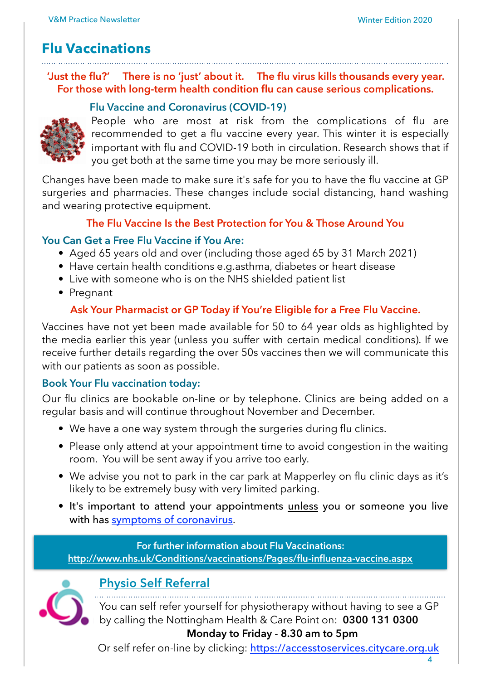## **Flu Vaccinations**

**'Just the flu?' There is no 'just' about it. The flu virus kills thousands every year. For those with long-term health condition flu can cause serious complications.** 

#### **Flu Vaccine and Coronavirus (COVID-19)**



People who are most at risk from the complications of flu are recommended to get a flu vaccine every year. This winter it is especially important with flu and COVID-19 both in circulation. Research shows that if you get both at the same time you may be more seriously ill.

Changes have been made to make sure it's safe for you to have the flu vaccine at GP surgeries and pharmacies. These changes include social distancing, hand washing and wearing protective equipment.

#### **The Flu Vaccine Is the Best Protection for You & Those Around You**

#### **You Can Get a Free Flu Vaccine if You Are:**

- Aged 65 years old and over (including those aged 65 by 31 March 2021)
- Have certain health conditions e.g.asthma, diabetes or heart disease
- Live with someone who is on the NHS shielded patient list
- Pregnant

#### **Ask Your Pharmacist or GP Today if You're Eligible for a Free Flu Vaccine.**

Vaccines have not yet been made available for 50 to 64 year olds as highlighted by the media earlier this year (unless you suffer with certain medical conditions). If we receive further details regarding the over 50s vaccines then we will communicate this with our patients as soon as possible.

#### **Book Your Flu vaccination today:**

Our flu clinics are bookable on-line or by telephone. Clinics are being added on a regular basis and will continue throughout November and December.

- We have a one way system through the surgeries during flu clinics.
- Please only attend at your appointment time to avoid congestion in the waiting room. You will be sent away if you arrive too early.
- We advise you not to park in the car park at Mapperley on flu clinic days as it's likely to be extremely busy with very limited parking.
- It's important to attend your appointments unless you or someone you live with has [symptoms of coronavirus](https://www.nhs.uk/conditions/coronavirus-covid-19/symptoms/).

#### **For further information about Flu Vaccinations: <http://www.nhs.uk/Conditions/vaccinations/Pages/flu-influenza-vaccine.aspx>**



#### **[Physio Self Referral](https://www.nottinghamcitycare.nhs.uk/find-a-service/services-list/musculoskeletal-physiotherapy-and-occupational-therapy-service/)**

You can self refer yourself for physiotherapy without having to see a GP by calling the Nottingham Health & Care Point on: **0300 131 0300** 

**Monday to Friday - 8.30 am to 5pm** 

Or self refer on-line by clicking: <https://accesstoservices.citycare.org.uk>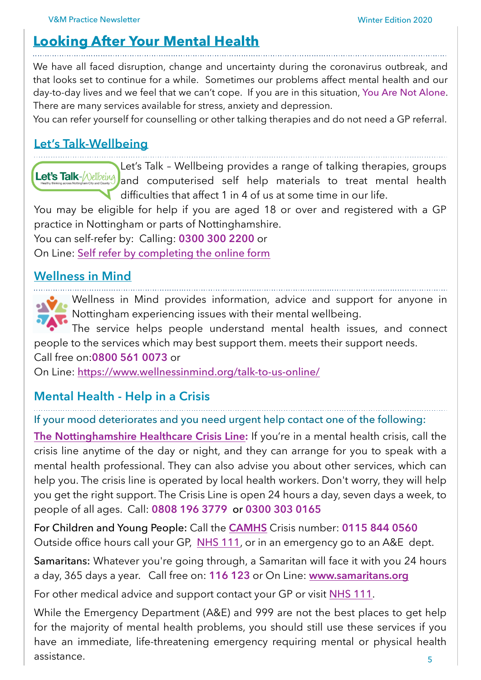## **[Looking After Your Mental Health](https://www.nhs.uk/oneyou/every-mind-matters/how-to-manage-change-coronavirus-covid-19/)**

We have all faced disruption, change and uncertainty during the coronavirus outbreak, and that looks set to continue for a while. Sometimes our problems affect mental health and our day-to-day lives and we feel that we can't cope. If you are in this situation, You Are Not Alone. There are many services available for stress, anxiety and depression.

You can refer yourself for counselling or other talking therapies and do not need a GP referral.

## **[Let's Talk-Wellbeing](https://www.nottinghamshirehealthcare.nhs.uk/nottingham-city-and-county)**

Let's Talk – Wellbeing provides a range of talking therapies, groups Let's Talk-*[Nellbeing*] and computerised self help materials to treat mental health difficulties that affect 1 in 4 of us at some time in our life.

You may be eligible for help if you are aged 18 or over and registered with a GP practice in Nottingham or parts of Nottinghamshire.

You can self-refer by: Calling: **0300 300 2200** or

On Line: [Self refer by completing the](https://www.insighthealthcare.org/our-services/talking-therapies/find-a-service/nottingham/) online form

#### **[Wellness in Mind](https://www.wellnessinmind.org)**

Wellness in Mind provides information, advice and support for anyone in Nottingham experiencing issues with their mental wellbeing.

The service helps people understand mental health issues, and connect people to the services which may best support them. meets their support needs.

Call free on:**0800 561 0073** or

On Line: <https://www.wellnessinmind.org/talk-to-us-online/>

#### **Mental Health - Help in a Crisis**

If your mood deteriorates and you need urgent help contact one of the following:

**[The Nottinghamshire Healthcare Crisis Line](https://www.nottinghamshirehealthcare.nhs.uk/help-in-a-crisis):** If you're in a mental health crisis, call the crisis line anytime of the day or night, and they can arrange for you to speak with a mental health professional. They can also advise you about other services, which can help you. The crisis line is operated by local health workers. Don't worry, they will help you get the right support. The Crisis Line is open 24 hours a day, seven days a week, to people of all ages. Call: **0808 196 3779** or **0300 303 0165**

For Children and Young People: Call the **[CAMHS](https://www.nottinghamshirehealthcare.nhs.uk/camhs-paediatric-liaison-service)** Crisis number: **0115 844 0560**  Outside office hours call your GP, [NHS 111](https://111.nhs.uk), or in an emergency go to an A&E dept.

Samaritans: Whatever you're going through, a Samaritan will face it with you 24 hours a day, 365 days a year. Call free on: **116 123** or On Line: **[www.samaritans.org](https://www.samaritans.org/how-we-can-help/contact-samaritan/)**

For other medical advice and support contact your GP or visit [NHS 111](https://111.nhs.uk).

5 While the Emergency Department (A&E) and 999 are not the best places to get help for the majority of mental health problems, you should still use these services if you have an immediate, life-threatening emergency requiring mental or physical health assistance.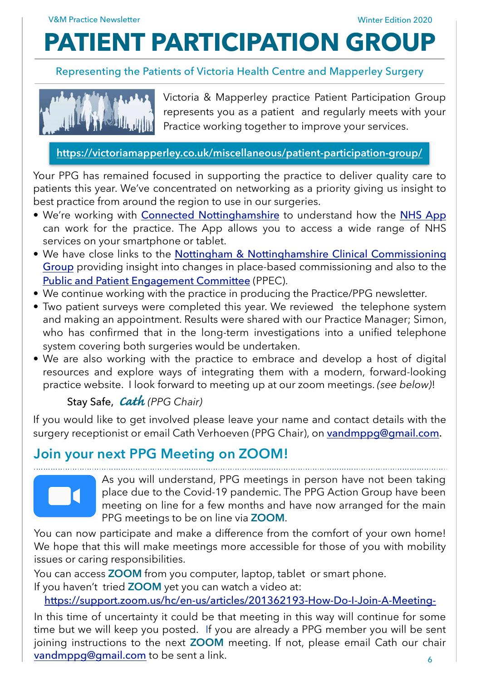## **PATIENT PARTICIPATION GROUP**

#### Representing the Patients of Victoria Health Centre and Mapperley Surgery



Victoria & Mapperley practice Patient Participation Group represents you as a patient and regularly meets with your Practice working together to improve your services.

**<https://victoriamapperley.co.uk/miscellaneous/patient-participation-group/>**

Your PPG has remained focused in supporting the practice to deliver quality care to patients this year. We've concentrated on networking as a priority giving us insight to best practice from around the region to use in our surgeries.

- We're working with **[Connected Nottinghamshire](https://www.connectednottinghamshire.nhs.uk)** to understand how the [NHS App](https://www.nhs.uk/using-the-nhs/nhs-services/the-nhs-app/) can work for the practice. The App allows you to access a wide range of NHS services on your smartphone or tablet.
- We have close links to the [Nottingham & Nottinghamshire Clinical Commissioning](https://nottsccg.nhs.uk/about-us/) [Group](https://nottsccg.nhs.uk/about-us/) providing insight into changes in place-based commissioning and also to the [Public and Patient Engagement Committee](https://www.nottinghamcity.nhs.uk/get-involved/engagement/) (PPEC).
- We continue working with the practice in producing the Practice/PPG newsletter.
- Two patient surveys were completed this year. We reviewed the telephone system and making an appointment. Results were shared with our Practice Manager; Simon, who has confirmed that in the long-term investigations into a unified telephone system covering both surgeries would be undertaken.
- We are also working with the practice to embrace and develop a host of digital resources and explore ways of integrating them with a modern, forward-looking practice website. I look forward to meeting up at our zoom meetings. *(see below)*!

#### Stay Safe, *C***a***t***h** *(PPG Chair)*

If you would like to get involved please leave your name and contact details with the surgery receptionist or email Cath Verhoeven (PPG Chair), on [vandmppg@gmail.com](mailto:vandmppg@gmail.com).

## **Join your next PPG Meeting on ZOOM!**



As you will understand, PPG meetings in person have not been taking place due to the Covid-19 pandemic. The PPG Action Group have been meeting on line for a few months and have now arranged for the main PPG meetings to be on line via **ZOOM**.

You can now participate and make a difference from the comfort of your own home! We hope that this will make meetings more accessible for those of you with mobility issues or caring responsibilities.

You can access **ZOOM** from you computer, laptop, tablet or smart phone. If you haven't tried **ZOOM** yet you can watch a video at:

<https://support.zoom.us/hc/en-us/articles/201362193-How-Do-I-Join-A-Meeting->

In this time of uncertainty it could be that meeting in this way will continue for some time but we will keep you posted. If you are already a PPG member you will be sent joining instructions to the next **ZOOM** meeting. If not, please email Cath our chair [vandmppg@gmail.com](mailto:vandmppg@gmail.com) to be sent a link.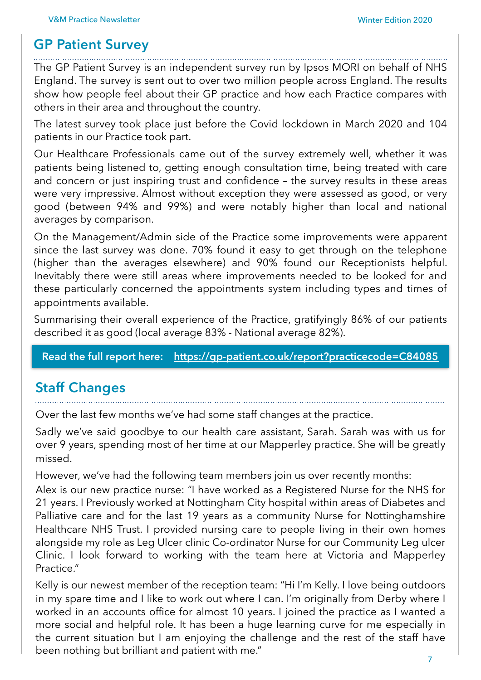### **GP Patient Survey**

The GP Patient Survey is an independent survey run by Ipsos MORI on behalf of NHS England. The survey is sent out to over two million people across England. The results

show how people feel about their GP practice and how each Practice compares with others in their area and throughout the country.

The latest survey took place just before the Covid lockdown in March 2020 and 104 patients in our Practice took part.

Our Healthcare Professionals came out of the survey extremely well, whether it was patients being listened to, getting enough consultation time, being treated with care and concern or just inspiring trust and confidence – the survey results in these areas were very impressive. Almost without exception they were assessed as good, or very good (between 94% and 99%) and were notably higher than local and national averages by comparison.

On the Management/Admin side of the Practice some improvements were apparent since the last survey was done. 70% found it easy to get through on the telephone (higher than the averages elsewhere) and 90% found our Receptionists helpful. Inevitably there were still areas where improvements needed to be looked for and these particularly concerned the appointments system including types and times of appointments available.

Summarising their overall experience of the Practice, gratifyingly 86% of our patients described it as good (local average 83% - National average 82%).

**Read the full report here: <https://gp-patient.co.uk/report?practicecode=C84085>**

## **Staff Changes**

Over the last few months we've had some staff changes at the practice.

Sadly we've said goodbye to our health care assistant, Sarah. Sarah was with us for over 9 years, spending most of her time at our Mapperley practice. She will be greatly missed.

However, we've had the following team members join us over recently months:

Alex is our new practice nurse: "I have worked as a Registered Nurse for the NHS for 21 years. I Previously worked at Nottingham City hospital within areas of Diabetes and Palliative care and for the last 19 years as a community Nurse for Nottinghamshire Healthcare NHS Trust. I provided nursing care to people living in their own homes alongside my role as Leg Ulcer clinic Co-ordinator Nurse for our Community Leg ulcer Clinic. I look forward to working with the team here at Victoria and Mapperley Practice."

Kelly is our newest member of the reception team: "Hi I'm Kelly. I love being outdoors in my spare time and I like to work out where I can. I'm originally from Derby where I worked in an accounts office for almost 10 years. I joined the practice as I wanted a more social and helpful role. It has been a huge learning curve for me especially in the current situation but I am enjoying the challenge and the rest of the staff have been nothing but brilliant and patient with me."